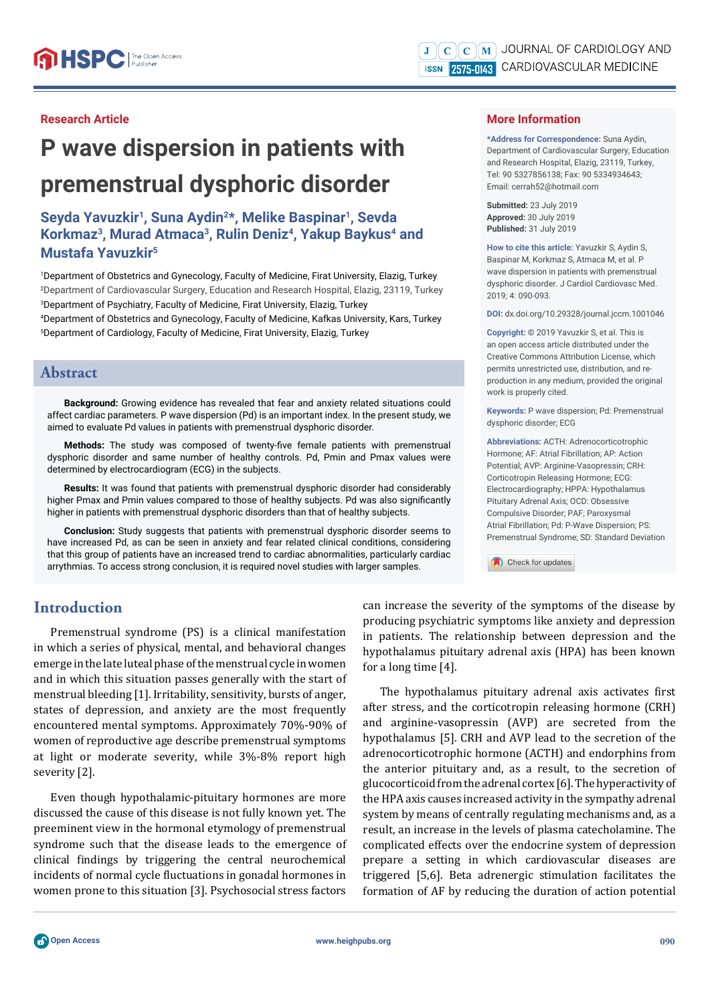#### **Research Article**

# **P wave dispersion in patients with premenstrual dysphoric disorder**

# **Seyda Yavuzkir1, Suna Aydin2\*, Melike Baspinar1, Sevda Korkmaz3, Murad Atmaca3, Rulin Deniz4, Yakup Baykus4 and Mustafa Yavuzkir5**

 Department of Obstetrics and Gynecology, Faculty of Medicine, Firat University, Elazig, Turkey Department of Cardiovascular Surgery, Education and Research Hospital, Elazig, 23119, Turkey Department of Psychiatry, Faculty of Medicine, Firat University, Elazig, Turkey Department of Obstetrics and Gynecology, Faculty of Medicine, Kafkas University, Kars, Turkey Department of Cardiology, Faculty of Medicine, Firat University, Elazig, Turkey

### **Abstract**

**Background:** Growing evidence has revealed that fear and anxiety related situations could affect cardiac parameters. P wave dispersion (Pd) is an important index. In the present study, we aimed to evaluate Pd values in patients with premenstrual dysphoric disorder.

**Methods:** The study was composed of twenty-five female patients with premenstrual dysphoric disorder and same number of healthy controls. Pd, Pmin and Pmax values were determined by electrocardiogram (ECG) in the subjects.

**Results:** It was found that patients with premenstrual dysphoric disorder had considerably higher Pmax and Pmin values compared to those of healthy subjects. Pd was also significantly higher in patients with premenstrual dysphoric disorders than that of healthy subjects.

**Conclusion:** Study suggests that patients with premenstrual dysphoric disorder seems to have increased Pd, as can be seen in anxiety and fear related clinical conditions, considering that this group of patients have an increased trend to cardiac abnormalities, particularly cardiac arrythmias. To access strong conclusion, it is required novel studies with larger samples.

# **Introduction**

Premenstrual syndrome (PS) is a clinical manifestation in which a series of physical, mental, and behavioral changes emerge in the late luteal phase of the menstrual cycle in women and in which this situation passes generally with the start of menstrual bleeding [1]. Irritability, sensitivity, bursts of anger, states of depression, and anxiety are the most frequently encountered mental symptoms. Approximately 70%-90% of women of reproductive age describe premenstrual symptoms at light or moderate severity, while 3%-8% report high severity [2].

Even though hypothalamic-pituitary hormones are more discussed the cause of this disease is not fully known yet. The preeminent view in the hormonal etymology of premenstrual syndrome such that the disease leads to the emergence of clinical findings by triggering the central neurochemical incidents of normal cycle fluctuations in gonadal hormones in women prone to this situation [3]. Psychosocial stress factors

can increase the severity of the symptoms of the disease by producing psychiatric symptoms like anxiety and depression in patients. The relationship between depression and the hypothalamus pituitary adrenal axis (HPA) has been known for a long time [4].

Check for updates

The hypothalamus pituitary adrenal axis activates first after stress, and the corticotropin releasing hormone (CRH) and arginine-vasopressin (AVP) are secreted from the hypothalamus [5]. CRH and AVP lead to the secretion of the adrenocorticotrophic hormone (ACTH) and endorphins from the anterior pituitary and, as a result, to the secretion of glucocorticoid from the adrenal cortex [6]. The hyperactivity of the HPA axis causes increased activity in the sympathy adrenal system by means of centrally regulating mechanisms and, as a result, an increase in the levels of plasma catecholamine. The complicated effects over the endocrine system of depression prepare a setting in which cardiovascular diseases are triggered [5,6]. Beta adrenergic stimulation facilitates the formation of AF by reducing the duration of action potential

#### **More Information**

**\*Address for Correspondence:** Suna Aydin, Department of Cardiovascular Surgery, Education and Research Hospital, Elazig, 23119, Turkey, Tel: 90 5327856138; Fax: 90 5334934643; Email: cerrah52@hotmail.com

**Submitted:** 23 July 2019 **Approved:** 30 July 2019 **Published:** 31 July 2019

**How to cite this article:** Yavuzkir S, Aydin S, Baspinar M, Korkmaz S, Atmaca M, et al. P wave dispersion in patients with premenstrual dysphoric disorder. J Cardiol Cardiovasc Med. 2019; 4: 090-093.

**DOI:** dx.doi.org/10.29328/journal.jccm.1001046

**Copyright: ©** 2019 Yavuzkir S, et al. This is an open access article distributed under the Creative Commons Attribution License, which permits unrestricted use, distribution, and reproduction in any medium, provided the original work is properly cited.

**Keywords:** P wave dispersion; Pd: Premenstrual dysphoric disorder; ECG

**Abbreviations:** ACTH: Adrenocorticotrophic Hormone; AF: Atrial Fibrillation; AP: Action Potential; AVP: Arginine-Vasopressin; CRH: Corticotropin Releasing Hormone; ECG: Electrocardiography; HPPA: Hypothalamus Pituitary Adrenal Axis; OCD: Obsessive Compulsive Disorder; PAF; Paroxysmal Atrial Fibrillation; Pd: P-Wave Dispersion; PS: Premenstrual Syndrome; SD: Standard Deviation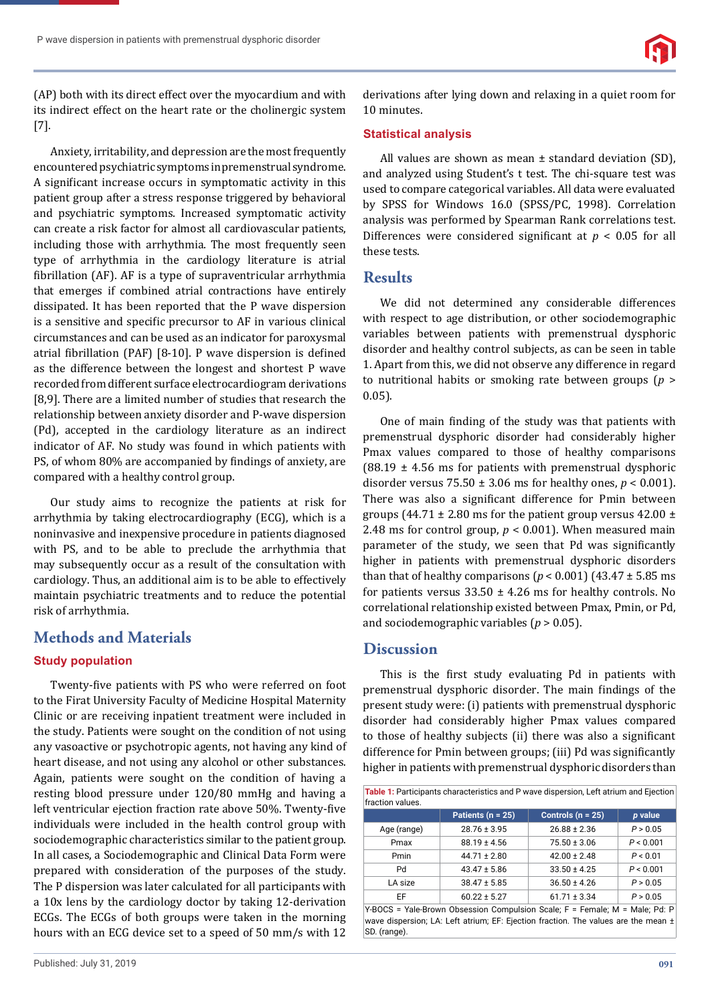

(AP) both with its direct effect over the myocardium and with its indirect effect on the heart rate or the cholinergic system [7].

Anxiety, irritability, and depression are the most frequently encountered psychiatric symptoms in premenstrual syndrome. A significant increase occurs in symptomatic activity in this patient group after a stress response triggered by behavioral and psychiatric symptoms. Increased symptomatic activity can create a risk factor for almost all cardiovascular patients, including those with arrhythmia. The most frequently seen type of arrhythmia in the cardiology literature is atrial fibrillation (AF). AF is a type of supraventricular arrhythmia that emerges if combined atrial contractions have entirely dissipated. It has been reported that the P wave dispersion is a sensitive and specific precursor to AF in various clinical circumstances and can be used as an indicator for paroxysmal atrial fibrillation (PAF) [8-10]. P wave dispersion is defined as the difference between the longest and shortest P wave recorded from different surface electrocardiogram derivations [8,9]. There are a limited number of studies that research the relationship between anxiety disorder and P-wave dispersion (Pd), accepted in the cardiology literature as an indirect indicator of AF. No study was found in which patients with PS, of whom 80% are accompanied by findings of anxiety, are compared with a healthy control group.

Our study aims to recognize the patients at risk for arrhythmia by taking electrocardiography (ECG), which is a noninvasive and inexpensive procedure in patients diagnosed with PS, and to be able to preclude the arrhythmia that may subsequently occur as a result of the consultation with cardiology. Thus, an additional aim is to be able to effectively maintain psychiatric treatments and to reduce the potential risk of arrhythmia.

# **Methods and Materials**

## **Study population**

Twenty-five patients with PS who were referred on foot to the Firat University Faculty of Medicine Hospital Maternity Clinic or are receiving inpatient treatment were included in the study. Patients were sought on the condition of not using any vasoactive or psychotropic agents, not having any kind of heart disease, and not using any alcohol or other substances. Again, patients were sought on the condition of having a resting blood pressure under 120/80 mmHg and having a left ventricular ejection fraction rate above 50%. Twenty-five individuals were included in the health control group with sociodemographic characteristics similar to the patient group. In all cases, a Sociodemographic and Clinical Data Form were prepared with consideration of the purposes of the study. The P dispersion was later calculated for all participants with a 10x lens by the cardiology doctor by taking 12-derivation ECGs. The ECGs of both groups were taken in the morning hours with an ECG device set to a speed of 50 mm/s with 12 derivations after lying down and relaxing in a quiet room for 10 minutes.

#### **Statistical analysis**

All values are shown as mean  $\pm$  standard deviation (SD), and analyzed using Student's t test. The chi-square test was used to compare categorical variables. All data were evaluated by SPSS for Windows 16.0 (SPSS/PC, 1998). Correlation analysis was performed by Spearman Rank correlations test. Differences were considered significant at  $p < 0.05$  for all these tests.

## **Results**

We did not determined any considerable differences with respect to age distribution, or other sociodemographic variables between patients with premenstrual dysphoric disorder and healthy control subjects, as can be seen in table 1. Apart from this, we did not observe any difference in regard to nutritional habits or smoking rate between groups (*p* > 0.05).

One of main finding of the study was that patients with premenstrual dysphoric disorder had considerably higher Pmax values compared to those of healthy comparisons  $(88.19 \pm 4.56 \text{ ms}$  for patients with premenstrual dysphoric disorder versus  $75.50 \pm 3.06$  ms for healthy ones,  $p < 0.001$ ). There was also a significant difference for Pmin between groups (44.71  $\pm$  2.80 ms for the patient group versus 42.00  $\pm$ 2.48 ms for control group,  $p < 0.001$ ). When measured main parameter of the study, we seen that Pd was significantly higher in patients with premenstrual dysphoric disorders than that of healthy comparisons  $(p < 0.001)$  (43.47  $\pm$  5.85 ms for patients versus  $33.50 \pm 4.26$  ms for healthy controls. No correlational relationship existed between Pmax, Pmin, or Pd, and sociodemographic variables (*p* > 0.05).

## **Discussion**

This is the first study evaluating Pd in patients with premenstrual dysphoric disorder. The main findings of the present study were: (i) patients with premenstrual dysphoric disorder had considerably higher Pmax values compared to those of healthy subjects (ii) there was also a significant difference for Pmin between groups; (iii) Pd was significantly higher in patients with premenstrual dysphoric disorders than

| Table 1: Participants characteristics and P wave dispersion, Left atrium and Ejection<br>fraction values. |                       |                     |           |
|-----------------------------------------------------------------------------------------------------------|-----------------------|---------------------|-----------|
|                                                                                                           | Patients ( $n = 25$ ) | Controls $(n = 25)$ | p value   |
| Age (range)                                                                                               | $28.76 \pm 3.95$      | $26.88 \pm 2.36$    | P > 0.05  |
| Pmax                                                                                                      | $88.19 \pm 4.56$      | $75.50 \pm 3.06$    | P < 0.001 |
| Pmin                                                                                                      | $44.71 \pm 2.80$      | $42.00 \pm 2.48$    | P < 0.01  |
| Pd                                                                                                        | $43.47 \pm 5.86$      | $33.50 \pm 4.25$    | P < 0.001 |
| LA size                                                                                                   | $38.47 \pm 5.85$      | $36.50 \pm 4.26$    | P > 0.05  |
| EF                                                                                                        | $60.22 \pm 5.27$      | $61.71 \pm 3.34$    | P > 0.05  |

Y-BOCS = Yale-Brown Obsession Compulsion Scale; F = Female; M = Male; Pd: P wave dispersion; LA: Left atrium; EF: Ejection fraction. The values are the mean ± SD. (range).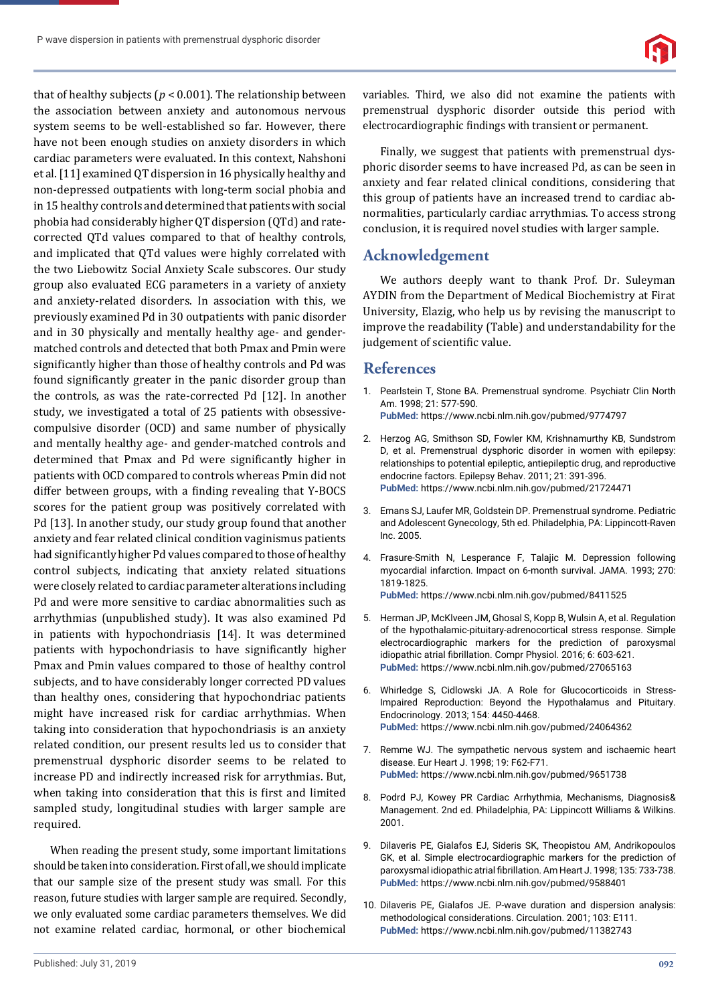that of healthy subjects ( $p < 0.001$ ). The relationship between the association between anxiety and autonomous nervous system seems to be well-established so far. However, there have not been enough studies on anxiety disorders in which cardiac parameters were evaluated. In this context, Nahshoni et al. [11] examined QT dispersion in 16 physically healthy and non-depressed outpatients with long-term social phobia and in 15 healthy controls and determined that patients with social phobia had considerably higher QT dispersion (QTd) and ratecorrected QTd values compared to that of healthy controls, and implicated that QTd values were highly correlated with the two Liebowitz Social Anxiety Scale subscores. Our study group also evaluated ECG parameters in a variety of anxiety and anxiety-related disorders. In association with this, we previously examined Pd in 30 outpatients with panic disorder and in 30 physically and mentally healthy age- and gendermatched controls and detected that both Pmax and Pmin were significantly higher than those of healthy controls and Pd was found significantly greater in the panic disorder group than the controls, as was the rate-corrected Pd [12]. In another study, we investigated a total of 25 patients with obsessivecompulsive disorder (OCD) and same number of physically and mentally healthy age- and gender-matched controls and determined that Pmax and Pd were significantly higher in patients with OCD compared to controls whereas Pmin did not differ between groups, with a finding revealing that Y-BOCS scores for the patient group was positively correlated with Pd [13]. In another study, our study group found that another anxiety and fear related clinical condition vaginismus patients had significantly higher Pd values compared to those of healthy control subjects, indicating that anxiety related situations were closely related to cardiac parameter alterations including Pd and were more sensitive to cardiac abnormalities such as arrhythmias (unpublished study). It was also examined Pd in patients with hypochondriasis [14]. It was determined patients with hypochondriasis to have significantly higher Pmax and Pmin values compared to those of healthy control subjects, and to have considerably longer corrected PD values than healthy ones, considering that hypochondriac patients might have increased risk for cardiac arrhythmias. When taking into consideration that hypochondriasis is an anxiety related condition, our present results led us to consider that premenstrual dysphoric disorder seems to be related to increase PD and indirectly increased risk for arrythmias. But, when taking into consideration that this is first and limited sampled study, longitudinal studies with larger sample are required.

When reading the present study, some important limitations should be taken into consideration. First of all, we should implicate that our sample size of the present study was small. For this reason, future studies with larger sample are required. Secondly, we only evaluated some cardiac parameters themselves. We did not examine related cardiac, hormonal, or other biochemical

variables. Third, we also did not examine the patients with premenstrual dysphoric disorder outside this period with electrocardiographic findings with transient or permanent.

Finally, we suggest that patients with premenstrual dysphoric disorder seems to have increased Pd, as can be seen in anxiety and fear related clinical conditions, considering that this group of patients have an increased trend to cardiac abnormalities, particularly cardiac arrythmias. To access strong conclusion, it is required novel studies with larger sample.

## **Acknowledgement**

We authors deeply want to thank Prof. Dr. Suleyman AYDIN from the Department of Medical Biochemistry at Firat University, Elazig, who help us by revising the manuscript to improve the readability (Table) and understandability for the judgement of scientific value.

#### **References**

- 1. Pearlstein T, Stone BA. Premenstrual syndrome. Psychiatr Clin North Am. 1998; 21: 577-590. **PubMed:** https://www.ncbi.nlm.nih.gov/pubmed/9774797
- 2. Herzog AG, Smithson SD, Fowler KM, Krishnamurthy KB, Sundstrom D, et al. Premenstrual dysphoric disorder in women with epilepsy: relationships to potential epileptic, antiepileptic drug, and reproductive endocrine factors. Epilepsy Behav. 2011; 21: 391-396. **PubMed:** https://www.ncbi.nlm.nih.gov/pubmed/21724471
- 3. Emans SJ, Laufer MR, Goldstein DP. Premenstrual syndrome. Pediatric and Adolescent Gynecology, 5th ed. Philadelphia, PA: Lippincott-Raven Inc. 2005.
- 4. Frasure-Smith N, Lesperance F, Talajic M. Depression following myocardial infarction. Impact on 6-month survival. JAMA. 1993; 270: 1819-1825. **PubMed:** https://www.ncbi.nlm.nih.gov/pubmed/8411525
- 5. Herman JP, McKlveen JM, Ghosal S, Kopp B, Wulsin A, et al. Regulation of the hypothalamic-pituitary-adrenocortical stress response. Simple electrocardiographic markers for the prediction of paroxysmal idiopathic atrial fibrillation. Compr Physiol. 2016; 6: 603-621. **PubMed:** https://www.ncbi.nlm.nih.gov/pubmed/27065163
- 6. Whirledge S, Cidlowski JA. A Role for Glucocorticoids in Stress-Impaired Reproduction: Beyond the Hypothalamus and Pituitary. Endocrinology. 2013; 154: 4450-4468. **PubMed:** https://www.ncbi.nlm.nih.gov/pubmed/24064362
- 7. Remme WJ. The sympathetic nervous system and ischaemic heart disease. Eur Heart J. 1998; 19: F62-F71. **PubMed:** https://www.ncbi.nlm.nih.gov/pubmed/9651738
- 8. Podrd PJ, Kowey PR Cardiac Arrhythmia, Mechanisms, Diagnosis& Management. 2nd ed. Philadelphia, PA: Lippincott Williams & Wilkins. 2001.
- 9. Dilaveris PE, Gialafos EJ, Sideris SK, Theopistou AM, Andrikopoulos GK, et al. Simple electrocardiographic markers for the prediction of paroxysmal idiopathic atrial fibrillation. Am Heart J. 1998: 135: 733-738. **PubMed:** https://www.ncbi.nlm.nih.gov/pubmed/9588401
- 10. Dilaveris PE, Gialafos JE. P-wave duration and dispersion analysis: methodological considerations. Circulation. 2001; 103: E111. **PubMed:** https://www.ncbi.nlm.nih.gov/pubmed/11382743